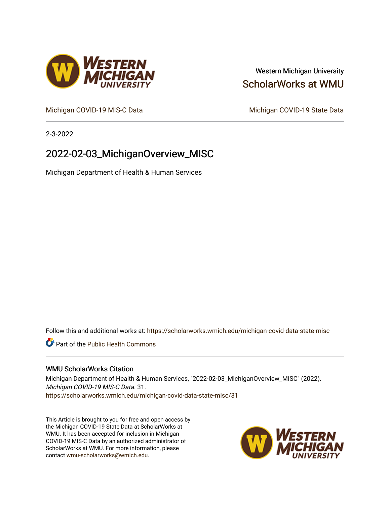### Western Michigan University [ScholarWorks at WMU](https://scholarworks.wmich.edu/)

[Michigan COVID-19 MIS-C Data](https://scholarworks.wmich.edu/michigan-covid-data-state-misc) Michigan COVID-19 State Data

2-3-2022

## 2022-02-03\_MichiganOverview\_MISC

Michigan Department of Health & Human Services

Follow this and additional works at: [https://scholarworks.wmich.edu/michigan-covid-data-state-misc](https://scholarworks.wmich.edu/michigan-covid-data-state-misc?utm_source=scholarworks.wmich.edu%2Fmichigan-covid-data-state-misc%2F31&utm_medium=PDF&utm_campaign=PDFCoverPages) 

**Part of the Public Health Commons** 

#### WMU ScholarWorks Citation

Michigan Department of Health & Human Services, "2022-02-03\_MichiganOverview\_MISC" (2022). Michigan COVID-19 MIS-C Data. 31. [https://scholarworks.wmich.edu/michigan-covid-data-state-misc/31](https://scholarworks.wmich.edu/michigan-covid-data-state-misc/31?utm_source=scholarworks.wmich.edu%2Fmichigan-covid-data-state-misc%2F31&utm_medium=PDF&utm_campaign=PDFCoverPages)

This Article is brought to you for free and open access by the Michigan COVID-19 State Data at ScholarWorks at WMU. It has been accepted for inclusion in Michigan COVID-19 MIS-C Data by an authorized administrator of ScholarWorks at WMU. For more information, please contact [wmu-scholarworks@wmich.edu](mailto:wmu-scholarworks@wmich.edu).



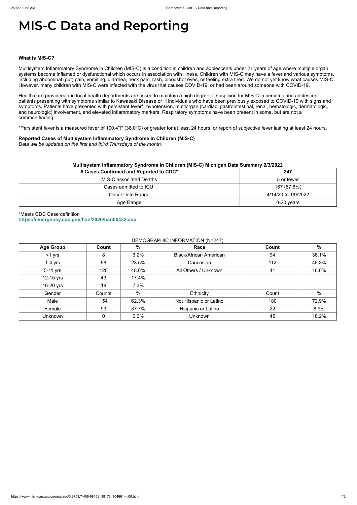https://www.michigan.gov/coronavirus/0,9753,7-406-98163\_98173\_104661---,00.html 1/2

# **MIS-C Data and Reporting**

#### **What is MIS-C?**

Multisystem Inflammatory Syndrome in Children (MIS-C) is a condition in children and adolescents under 21 years of age where multiple organ systems become inflamed or dysfunctional which occurs in association with illness. Children with MIS-C may have a fever and various symptoms, including abdominal (gut) pain, vomiting, diarrhea, neck pain, rash, bloodshot eyes, or feeling extra tired. We do not yet know what causes MIS-C. However, many children with MIS-C were infected with the virus that causes COVID-19, or had been around someone with COVID-19.

Health care providers and local health departments are asked to maintain a high degree of suspicion for MIS-C in pediatric and adolescent patients presenting with symptoms similar to Kawasaki Disease or ill individuals who have been previously exposed to COVID-19 with signs and symptoms. Patients have presented with persistent fever\*, hypotension, multiorgan (cardiac, gastrointestinal, renal, hematologic, dermatologic, and neurologic) involvement, and elevated inflammatory markers. Respiratory symptoms have been present in some, but are not a common finding.

\*Persistent fever is a measured fever of 100.4°F (38.0°C) or greater for at least 24 hours, or report of subjective fever lasting at least 24 hours.

#### **Reported Cases of Multisystem Inflammatory Syndrome in Children (MIS-C)**

*Data will be updated on the first and third Thursdays of the month.*

| Multisystem Inflammatory Syndrome in Children (MIS-C) Michigan Data Summary 2/3/2022 |                     |  |  |  |
|--------------------------------------------------------------------------------------|---------------------|--|--|--|
| # Cases Confirmed and Reported to CDC*                                               | 247                 |  |  |  |
| MIS-C associated Deaths                                                              | 5 or fewer          |  |  |  |
| Cases admitted to ICU                                                                | 167 (67.6%)         |  |  |  |
| Onset Date Range                                                                     | 4/14/20 to 1/9/2022 |  |  |  |
| Age Range                                                                            | $0-20$ years        |  |  |  |

\*Meets CDC Case definition **<https://emergency.cdc.gov/han/2020/han00432.asp>**

#### DEMOGRAPHIC INFORMATION (N=247)

| <b>Age Group</b> | Count        | %     | Race                          | Count | %     |
|------------------|--------------|-------|-------------------------------|-------|-------|
| $<$ 1 yrs        | 8            | 3.2%  | <b>Black/African American</b> | 94    | 38.1% |
| $1-4$ yrs        | 58           | 23.5% | Caucasian                     | 112   | 45.3% |
| 5-11 yrs         | 120          | 48.6% | All Others / Unknown          | 41    | 16.6% |
| 12-15 yrs        | 43           | 17.4% |                               |       |       |
| 16-20 yrs        | 18           | 7.3%  |                               |       |       |
| Gender           | Counts       | %     | Ethnicity                     | Count | %     |
| Male             | 154          | 62.3% | Not Hispanic or Latino        | 180   | 72.9% |
| Female           | 93           | 37.7% | Hispanic or Latino            | 22    | 8.9%  |
| Unknown          | $\mathbf{0}$ | 0.0%  | <b>Unknown</b>                | 45    | 18.2% |